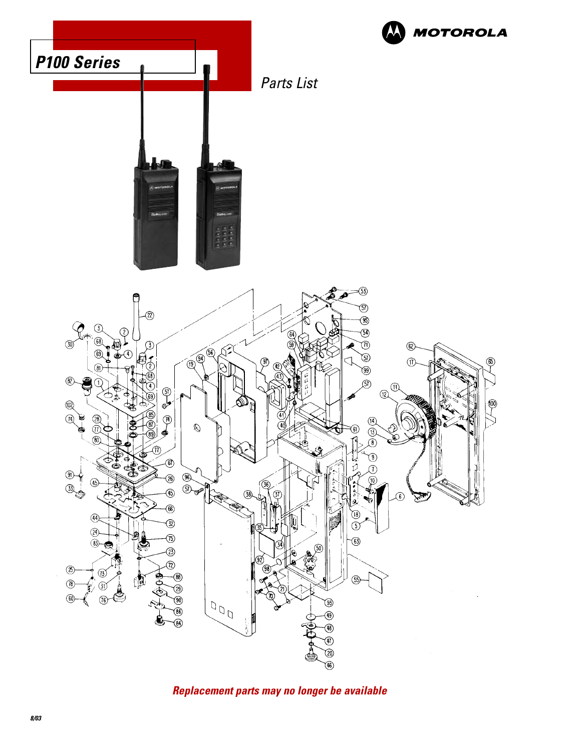

**Replacement parts may no longer be available**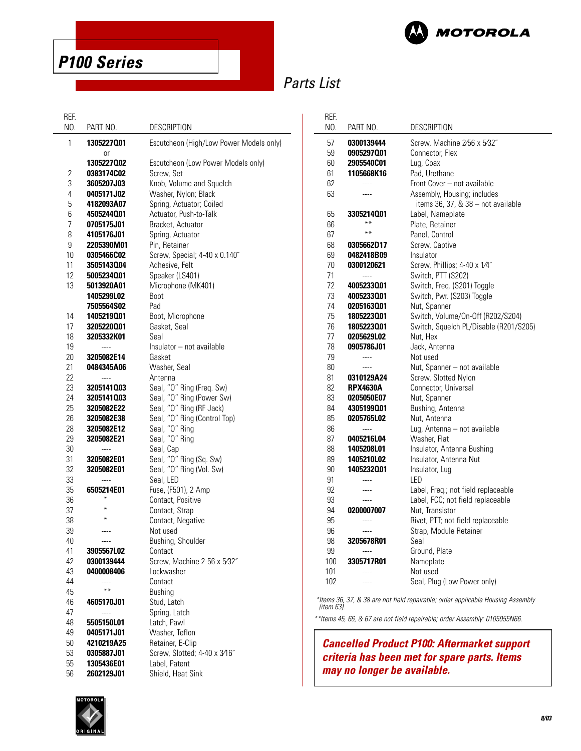

**P100 Series**

# Parts List

| REF.     |                          |                                                     |
|----------|--------------------------|-----------------------------------------------------|
| NO.      | PART NO.                 | <b>DESCRIPTION</b>                                  |
| 1        | 1305227001<br>Οr         | Escutcheon (High/Low Power Models only)             |
|          | 1305227002               | Escutcheon (Low Power Models only)                  |
| 2        | 0383174C02               | Screw, Set                                          |
| 3        | 3605207J03               | Knob, Volume and Squelch                            |
| 4        | 0405171J02               | Washer, Nylon; Black                                |
| 5        | 4182093A07               | Spring, Actuator; Coiled                            |
| 6        | 4505244001               | Actuator, Push-to-Talk                              |
| 7        | 0705175J01               | Bracket, Actuator                                   |
| 8        | 4105176J01               | Spring, Actuator                                    |
| 9        | 2205390M01               | Pin, Retainer                                       |
| 10<br>11 | <b>0305466C02</b>        | Screw, Special; 4-40 x 0.140"<br>Adhesive, Felt     |
| 12       | 3505143004<br>5005234001 | Speaker (LS401)                                     |
| 13       | 5013920A01               | Microphone (MK401)                                  |
|          | 1405299L02               | Boot                                                |
|          | 7505564S02               | Pad                                                 |
| 14       | 1405219001               | Boot, Microphone                                    |
| 17       | 3205220001               | Gasket, Seal                                        |
| 18       | 3205332K01               | Seal                                                |
| 19       | ----                     | Insulator - not available                           |
| 20       | 3205082E14               | Gasket                                              |
| 21       | 0484345A06               | Washer, Seal                                        |
| 22       | ----                     | Antenna                                             |
| 23       | 3205141003               | Seal, "O" Ring (Freq. Sw)                           |
| 24       | 3205141003               | Seal, "O" Ring (Power Sw)                           |
| 25       | 3205082E22               | Seal, "O" Ring (RF Jack)                            |
| 26       | 3205082E38               | Seal, "O" Ring (Control Top)                        |
| 28       | 3205082E12               | Seal, "O" Ring                                      |
| 29       | 3205082E21               | Seal, "O" Ring                                      |
| 30       | ----                     | Seal, Cap                                           |
| 31<br>32 | 3205082E01<br>3205082E01 | Seal, "O" Ring (Sq. Sw)<br>Seal, "O" Ring (Vol. Sw) |
| 33       |                          | Seal, LED                                           |
| 35       | 6505214E01               | Fuse, (F501), 2 Amp                                 |
| 36       | ₩                        | Contact, Positive                                   |
| 37       | ₩                        | Contact, Strap                                      |
| 38       | ∗                        | Contact, Negative                                   |
| 39       | ----                     | Not used                                            |
| 40       |                          | Bushing, Shoulder                                   |
| 41       | 3905567L02               | Contact                                             |
| 42       | 0300139444               | Screw, Machine 2-56 x 5/32"                         |
| 43       | 0400008406               | Lockwasher                                          |
| 44       |                          | Contact                                             |
| 45       | **                       | <b>Bushing</b>                                      |
| 46       | <b>4605170J01</b>        | Stud, Latch                                         |
| 47       |                          | Spring, Latch                                       |
| 48       | 5505150L01               | Latch, Pawl                                         |
| 49       | 0405171J01               | Washer, Teflon                                      |
| 50<br>53 | 4210219A25<br>0305887J01 | Retainer, E-Clip<br>Screw, Slotted; 4-40 x 3/16"    |
| 55       | 1305436E01               | Label, Patent                                       |
| 56       | 2602129J01               | Shield, Heat Sink                                   |
|          |                          |                                                     |

| REF.     |                   |                                                    |
|----------|-------------------|----------------------------------------------------|
| NO.      | PART NO.          | DESCRIPTION                                        |
| 57       | 0300139444        | Screw. Machine 2/56 x 5/32"                        |
| 59       | 0905297001        | Connector, Flex                                    |
| 60       | 2905540C01        | Lug, Coax                                          |
| 61       | 1105668K16        | Pad. Urethane                                      |
| 62       | $\frac{1}{2}$     | Front Cover - not available                        |
| 63       |                   | Assembly, Housing; includes                        |
|          |                   | items 36, 37, & 38 - not available                 |
| 65       | 3305214001        | Label, Nameplate                                   |
| 66       | **                | Plate, Retainer                                    |
| 67       | **                | Panel, Control                                     |
| 68       | 0305662D17        | Screw, Captive                                     |
| 69       | 0482418B09        | Insulator                                          |
| 70       | 0300120621        | Screw, Phillips; 4-40 x 1/4"                       |
| 71       | $---$             | Switch, PTT (S202)                                 |
| 72       | 4005233001        | Switch, Freq. (S201) Toggle                        |
| 73       | 4005233001        | Switch, Pwr. (S203) Toggle                         |
| 74       | 0205163001        | Nut, Spanner                                       |
| 75       | 1805223001        | Switch, Volume/On-Off (R202/S204)                  |
| 76       | 1805223001        |                                                    |
| 77       |                   | Switch, Squelch PL/Disable (R201/S205)<br>Nut, Hex |
| 78       | 0205629L02        |                                                    |
|          | 0905786J01        | Jack, Antenna                                      |
| 79       | $---$             | Not used                                           |
| 80       | $---$             | Nut, Spanner – not available                       |
| 81<br>82 | 0310129A24        | Screw, Slotted Nylon                               |
|          | <b>RPX4630A</b>   | Connector, Universal                               |
| 83       | 0205050E07        | Nut, Spanner                                       |
| 84       | 4305199001        | Bushing, Antenna                                   |
| 85       | 0205765L02        | Nut, Antenna                                       |
| 86       | $\overline{a}$    | Lug, Antenna - not available                       |
| 87       | 0405216L04        | Washer, Flat                                       |
| 88       | 1405208L01        | Insulator, Antenna Bushing                         |
| 89       | 1405210L02        | Insulator, Antenna Nut                             |
| 90<br>91 | 1405232001        | Insulator, Lug<br>LED                              |
|          | ----              |                                                    |
| 92       | ----              | Label, Freq.; not field replaceable                |
| 93       | $---$             | Label, FCC; not field replaceable                  |
| 94       | <b>0200007007</b> | Nut, Transistor                                    |
| 95       | ----              | Rivet, PTT; not field replaceable                  |
| 96       | ----              | Strap, Module Retainer                             |
| 98       | 3205678R01        | Seal                                               |
| 99       | $---$             | Ground, Plate                                      |
| 100      | 3305717R01        | Nameplate                                          |
| 101      |                   | Not used                                           |
| 102      |                   | Seal, Plug (Low Power only)                        |
|          |                   |                                                    |

\*Items 36, 37, & 38 are not field repairable; order applicable Housing Assembly (item 63).

\*\*Items 45, 66, & 67 are not field repairable; order Assembly: 0105955N66.

#### **Cancelled Product P100: Aftermarket support criteria has been met for spare parts. Items may no longer be available.**

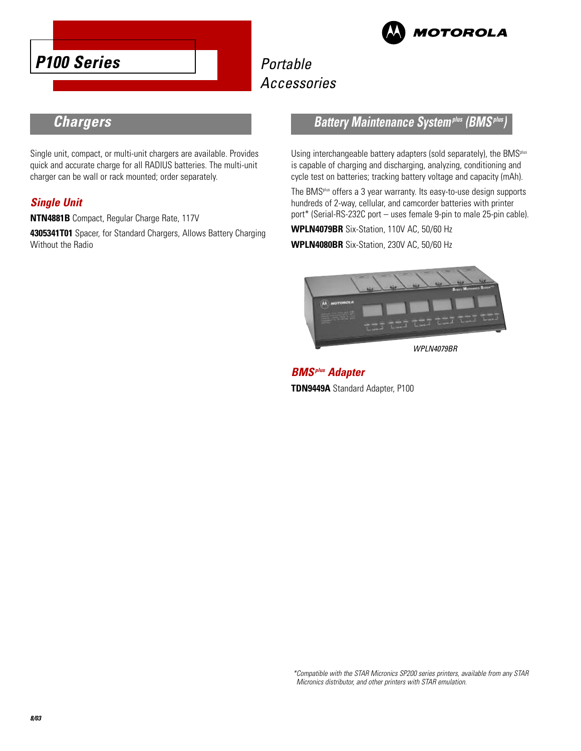





## **Chargers**

Single unit, compact, or multi-unit chargers are available. Provides quick and accurate charge for all RADIUS batteries. The multi-unit charger can be wall or rack mounted; order separately.

#### **Single Unit**

**NTN4881B** Compact, Regular Charge Rate, 117V

**4305341T01** Spacer, for Standard Chargers, Allows Battery Charging Without the Radio

### **Battery Maintenance System<sup>plus</sup> (BMS<sup>***i***</sup>**

Using interchangeable battery adapters (sold separately), the BMS<sup>plus</sup> is capable of charging and discharging, analyzing, conditioning and cycle test on batteries; tracking battery voltage and capacity (mAh).

The BMSplus offers a 3 year warranty. Its easy-to-use design supports hundreds of 2-way, cellular, and camcorder batteries with printer port\* (Serial-RS-232C port – uses female 9-pin to male 25-pin cable).

**WPLN4079BR** Six-Station, 110V AC, 50/60 Hz

**WPLN4080BR** Six-Station, 230V AC, 50/60 Hz



WPLN4079BR

**BMSplus Adapter TDN9449A** Standard Adapter, P100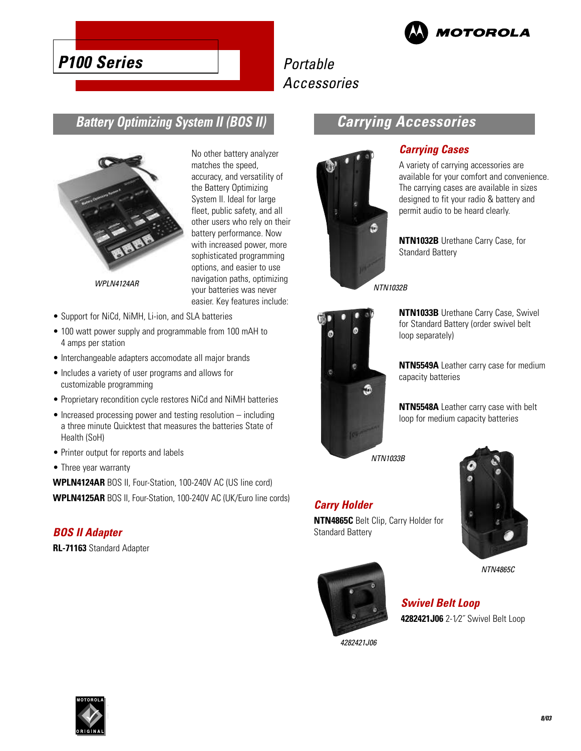

# **P100 Series**

# Portable Accessories

## **Battery Optimizing System II (BOS II)**



the Battery Optimizing System II. Ideal for large fleet, public safety, and all other users who rely on their battery performance. Now with increased power, more sophisticated programming options, and easier to use navigation paths, optimizing your batteries was never easier. Key features include:

No other battery analyzer matches the speed, accuracy, and versatility of

- WPLN4124AR
- Support for NiCd, NiMH, Li-ion, and SLA batteries
- 100 watt power supply and programmable from 100 mAH to 4 amps per station
- Interchangeable adapters accomodate all major brands
- Includes a variety of user programs and allows for customizable programming
- Proprietary recondition cycle restores NiCd and NiMH batteries
- Increased processing power and testing resolution including a three minute Quicktest that measures the batteries State of Health (SoH)
- Printer output for reports and labels
- Three year warranty

**WPLN4124AR** BOS II, Four-Station, 100-240V AC (US line cord) **WPLN4125AR** BOS II, Four-Station, 100-240V AC (UK/Euro line cords)

#### **BOS II Adapter**

**RL-71163** Standard Adapter

## **Carrying Accessories**



### **Carrying Cases**

A variety of carrying accessories are available for your comfort and convenience. The carrying cases are available in sizes designed to fit your radio & battery and permit audio to be heard clearly.

**NTN1032B** Urethane Carry Case, for Standard Battery

NTN1032B



**NTN1033B** Urethane Carry Case, Swivel for Standard Battery (order swivel belt loop separately)

**NTN5549A** Leather carry case for medium capacity batteries

**NTN5548A** Leather carry case with belt loop for medium capacity batteries

NTN1033B

### **Carry Holder**

**NTN4865C** Belt Clip, Carry Holder for Standard Battery



NTN4865C



**Swivel Belt Loop 4282421J06** 2-1⁄2˝ Swivel Belt Loop

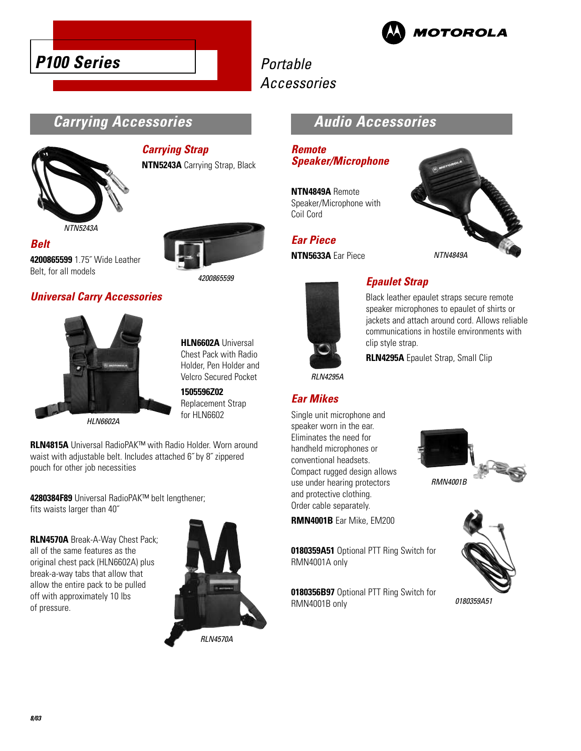



# Portable Accessories

## **Carrying Accessories**



#### **Carrying Strap NTN5243A** Carrying Strap, Black

NTN5243A

**Belt 4200865599** 1.75˝ Wide Leather Belt, for all models





**HLN6602A** Universal Chest Pack with Radio Holder, Pen Holder and Velcro Secured Pocket

4200865599

**1505596Z02** Replacement Strap for HLN6602

**RLN4815A** Universal RadioPAK™ with Radio Holder. Worn around waist with adjustable belt. Includes attached 6˝ by 8˝ zippered pouch for other job necessities

**4280384F89** Universal RadioPAK™ belt lengthener; fits waists larger than 40˝

**RLN4570A** Break-A-Way Chest Pack; all of the same features as the original chest pack (HLN6602A) plus break-a-way tabs that allow that allow the entire pack to be pulled off with approximately 10 lbs of pressure.



RLN4570A

## **Audio Accessories**

### **Remote Speaker/Microphone**

**NTN4849A** Remote Speaker/Microphone with Coil Cord

### **Ear Piece**

**NTN5633A** Ear Piece





## **Epaulet Strap**

Black leather epaulet straps secure remote speaker microphones to epaulet of shirts or jackets and attach around cord. Allows reliable communications in hostile environments with clip style strap.

**RLN4295A** Epaulet Strap, Small Clip

RLN4295A

### **Ear Mikes**

Single unit microphone and speaker worn in the ear. Eliminates the need for handheld microphones or conventional headsets. Compact rugged design allows use under hearing protectors and protective clothing. Order cable separately.

**RMN4001B** Ear Mike, EM200

**0180359A51** Optional PTT Ring Switch for RMN4001A only

**0180356B97** Optional PTT Ring Switch for RMN4001B only





0180359A51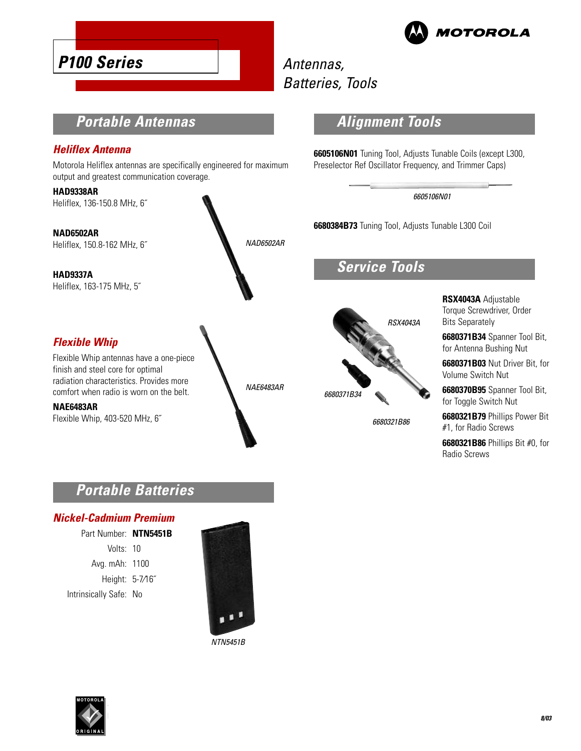

# Antennas, Batteries, Tools

## **Portable Antennas**

#### **Heliflex Antenna**

**P100 Series**

Motorola Heliflex antennas are specifically engineered for maximum output and greatest communication coverage.

**HAD9338AR** Heliflex, 136-150.8 MHz, 6˝

**NAD6502AR** Heliflex, 150.8-162 MHz, 6˝

**HAD9337A** Heliflex, 163-175 MHz, 5˝

### **Flexible Whip**

Flexible Whip antennas have a one-piece finish and steel core for optimal radiation characteristics. Provides more comfort when radio is worn on the belt.

**NAE6483AR**

Flexible Whip, 403-520 MHz, 6˝



## **Alignment Tools**

**6605106N01** Tuning Tool, Adjusts Tunable Coils (except L300, Preselector Ref Oscillator Frequency, and Trimmer Caps)

#### 6605106N01

**6680384B73** Tuning Tool, Adjusts Tunable L300 Coil

## **Service Tools**



6680321B86

**RSX4043A** Adjustable Torque Screwdriver, Order Bits Separately

**6680371B34** Spanner Tool Bit, for Antenna Bushing Nut

**6680371B03** Nut Driver Bit, for Volume Switch Nut

**6680370B95** Spanner Tool Bit, for Toggle Switch Nut

**6680321B79** Phillips Power Bit #1, for Radio Screws

**6680321B86** Phillips Bit #0, for Radio Screws

## **Portable Batteries**

#### **Nickel-Cadmium Premium**

Part Number: **NTN5451B** Volts: 10 Avg. mAh: 1100 Height: 5-7⁄16˝ Intrinsically Safe: No



NTN5451B

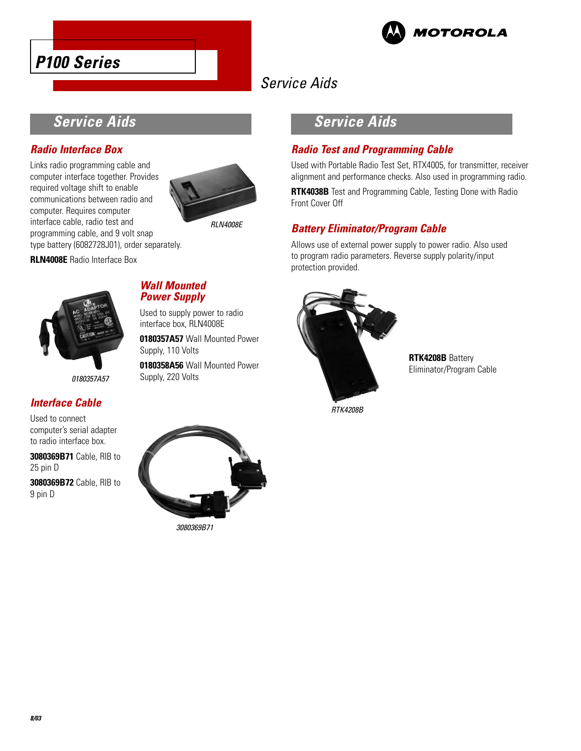



# Service Aids

Front Cover Off

## **Service Aids**

### **Radio Interface Box**

Links radio programming cable and computer interface together. Provides required voltage shift to enable communications between radio and computer. Requires computer interface cable, radio test and programming cable, and 9 volt snap type battery (6082728J01), order separately.



RLN4008E

**RLN4008E** Radio Interface Box



0180357A57

### **Interface Cable**

Used to connect computer's serial adapter to radio interface box.

**3080369B71** Cable, RIB to 25 pin D

**3080369B72** Cable, RIB to 9 pin D



Used to supply power to radio interface box, RLN4008E

**0180357A57** Wall Mounted Power Supply, 110 Volts

**0180358A56** Wall Mounted Power Supply, 220 Volts



**Service Aids**

**Radio Test and Programming Cable**

**Battery Eliminator/Program Cable**

Used with Portable Radio Test Set, RTX4005, for transmitter, receiver alignment and performance checks. Also used in programming radio. **RTK4038B** Test and Programming Cable, Testing Done with Radio

Allows use of external power supply to power radio. Also used to program radio parameters. Reverse supply polarity/input

> **RTK4208B** Battery Eliminator/Program Cable

RTK4208B



3080369B71